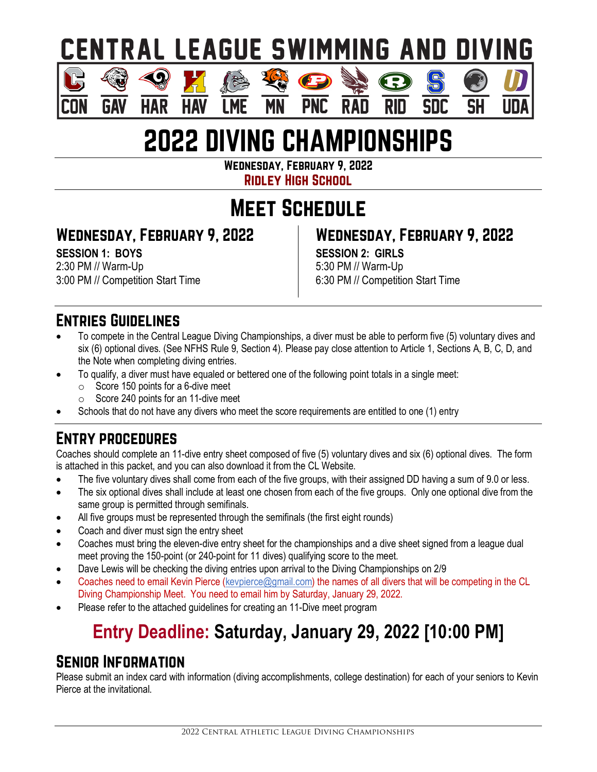# **CENTRAL LEAGUE SWIMMING AND DIVING**

# 2022 DIVING CHAMPIONSHIPS

**PNC** 

**RAD** 

Wednesday, February 9, 2022

Ridley High School

## Meet Schedule

### Wednesday, February 9, 2022

**HAR** 

**SESSION 1: BOYS** 2:30 PM // Warm-Up 3:00 PM // Competition Start Time

**GAV** 

### Wednesday, February 9, 2022

**SESSION 2: GIRLS** 5:30 PM // Warm-Up 6:30 PM // Competition Start Time

**RID** 

SDC

**SH** 

#### Entries Guidelines

- To compete in the Central League Diving Championships, a diver must be able to perform five (5) voluntary dives and six (6) optional dives. (See NFHS Rule 9, Section 4). Please pay close attention to Article 1, Sections A, B, C, D, and the Note when completing diving entries.
- To qualify, a diver must have equaled or bettered one of the following point totals in a single meet:
	- $\circ$  Score 150 points for a 6-dive meet
	- o Score 240 points for an 11-dive meet
- Schools that do not have any divers who meet the score requirements are entitled to one (1) entry

### Entry procedures

Coaches should complete an 11-dive entry sheet composed of five (5) voluntary dives and six (6) optional dives. The form is attached in this packet, and you can also download it from the CL Website.

- The five voluntary dives shall come from each of the five groups, with their assigned DD having a sum of 9.0 or less.
- The six optional dives shall include at least one chosen from each of the five groups. Only one optional dive from the same group is permitted through semifinals.
- All five groups must be represented through the semifinals (the first eight rounds)
- Coach and diver must sign the entry sheet
- Coaches must bring the eleven-dive entry sheet for the championships and a dive sheet signed from a league dual meet proving the 150-point (or 240-point for 11 dives) qualifying score to the meet.
- Dave Lewis will be checking the diving entries upon arrival to the Diving Championships on 2/9
- Coaches need to email Kevin Pierce [\(kevpierce@gmail.com\)](mailto:kevpierce@gmail.com) the names of all divers that will be competing in the CL Diving Championship Meet. You need to email him by Saturday, January 29, 2022.
- Please refer to the attached guidelines for creating an 11-Dive meet program

## **Entry Deadline: Saturday, January 29, 2022 [10:00 PM]**

#### Senior Information

Please submit an index card with information (diving accomplishments, college destination) for each of your seniors to Kevin Pierce at the invitational.